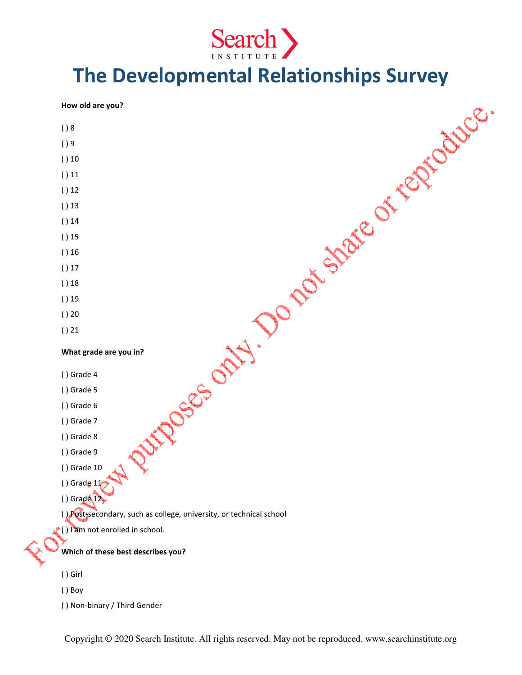

# The Developmental Relationships Survey

| How old are you?                                                        |
|-------------------------------------------------------------------------|
| ( ) 8                                                                   |
| ()9                                                                     |
| ()10                                                                    |
| ()11                                                                    |
| ()12                                                                    |
| ()13                                                                    |
| ()14                                                                    |
| ()15                                                                    |
| ()16                                                                    |
| ()17                                                                    |
| ()18                                                                    |
| ()19                                                                    |
| ()20                                                                    |
| ()21                                                                    |
| N Pitroses only : Do not share of regnolings.<br>What grade are you in? |
| () Grade 4                                                              |
| () Grade 5                                                              |
| () Grade 6                                                              |
| () Grade 7                                                              |
| () Grade 8                                                              |
| () Grade 9                                                              |
| $( )$ Grade 10                                                          |
| () Grade $11$                                                           |
| $()$ Grade $12$                                                         |
| () Post secondary, such as college, university, or technical school     |
| () l'am not enrolled in school.                                         |
| Which of these best describes you?                                      |
| $()$ Girl                                                               |
| $()$ Boy                                                                |
|                                                                         |

( ) Non-binary / Third Gender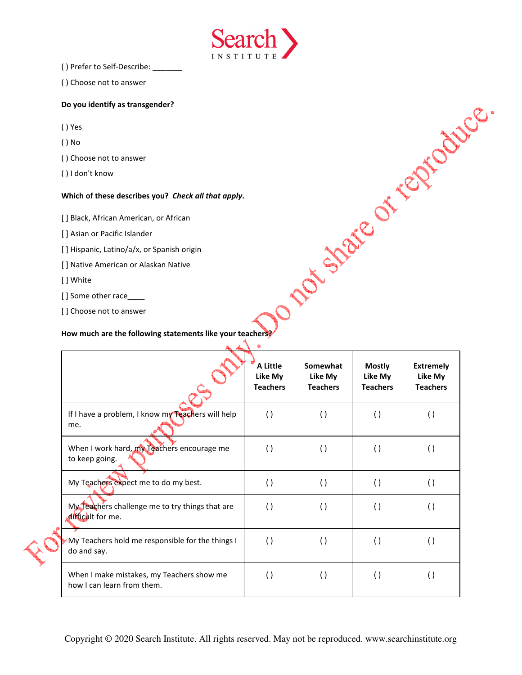( ) Prefer to Self-Describe: \_\_\_\_\_\_\_



### Do you identify as transgender?

- ( ) Yes
- ( ) No
- ( ) Choose not to answer
- ( ) I don't know

### Which of these describes you? Check all that apply.

- [ ] Asian or Pacific Islander
- [ ] Hispanic, Latino/a/x, or Spanish origin
- [ ] Native American or Alaskan Native
- [ ] White
- [] Some other race
- [] Choose not to answer

| () FIEIEI LU SEII-DESCHIDE.                                             |                                        |                                        |                                             |                                                |
|-------------------------------------------------------------------------|----------------------------------------|----------------------------------------|---------------------------------------------|------------------------------------------------|
| () Choose not to answer                                                 |                                        |                                        |                                             |                                                |
| Do you identify as transgender?                                         |                                        |                                        |                                             |                                                |
| () Yes                                                                  |                                        |                                        |                                             |                                                |
| $()$ No                                                                 |                                        |                                        |                                             |                                                |
| () Choose not to answer                                                 |                                        |                                        |                                             |                                                |
| () I don't know                                                         |                                        |                                        |                                             |                                                |
| Which of these describes you? Check all that apply.                     |                                        | 20 strate of regions.                  |                                             |                                                |
| [] Black, African American, or African                                  |                                        |                                        |                                             |                                                |
| [] Asian or Pacific Islander                                            |                                        |                                        |                                             |                                                |
| [] Hispanic, Latino/a/x, or Spanish origin                              |                                        |                                        |                                             |                                                |
| [] Native American or Alaskan Native                                    |                                        |                                        |                                             |                                                |
| [] White                                                                |                                        |                                        |                                             |                                                |
| [] Some other race____                                                  |                                        |                                        |                                             |                                                |
| [] Choose not to answer                                                 |                                        |                                        |                                             |                                                |
|                                                                         | A Little<br>Like My<br><b>Teachers</b> | Somewhat<br>Like My<br><b>Teachers</b> | <b>Mostly</b><br>Like My<br><b>Teachers</b> | <b>Extremely</b><br>Like My<br><b>Teachers</b> |
| If I have a problem, I know my Teachers will help<br>me.                | ( )                                    | $\left( \ \right)$                     | $\left( \ \right)$                          | $\left( \ \right)$                             |
| When I work hard, my Teachers encourage me<br>to keep going.            | $\left( \ \right)$                     | $\left( \ \right)$                     | $\left( \ \right)$                          | $\left( \ \right)$                             |
| My Teachers expect me to do my best.                                    | $\left( \ \right)$                     | $\left( \ \right)$                     | $\left( \ \right)$                          | $\left( \ \right)$                             |
| My Teachers challenge me to try things that are<br>difficult for me.    | ( )                                    | $\left( \ \right)$                     | $\left( \ \right)$                          | $\left( \ \right)$                             |
| My Teachers hold me responsible for the things I<br>do and say.         | ( )                                    | $\left( \ \right)$                     | $\left( \ \right)$                          | $\left( \ \right)$                             |
| When I make mistakes, my Teachers show me<br>how I can learn from them. | ( )                                    | $\left( \ \right)$                     | $\left( \ \right)$                          | $\left( \ \right)$                             |

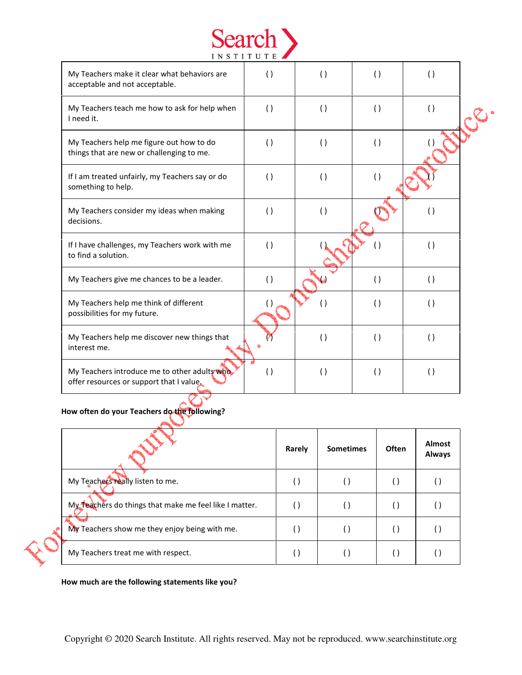|                                                                                          | <b>INSTITUTE</b>   |                    |                    |                    |  |
|------------------------------------------------------------------------------------------|--------------------|--------------------|--------------------|--------------------|--|
| My Teachers make it clear what behaviors are<br>acceptable and not acceptable.           | $\left( \ \right)$ | $\left( \ \right)$ | ( )                | ( )                |  |
| My Teachers teach me how to ask for help when<br>I need it.                              | $\left( \ \right)$ | ( )                | ( )                | $\left( \ \right)$ |  |
| My Teachers help me figure out how to do<br>things that are new or challenging to me.    | $\left( \ \right)$ | ( )                | ( )                |                    |  |
| If I am treated unfairly, my Teachers say or do<br>something to help.                    | $\left( \ \right)$ | ( )                | ( )                |                    |  |
| My Teachers consider my ideas when making<br>decisions.                                  | $\left( \ \right)$ | $\left( \ \right)$ |                    | $\left( \ \right)$ |  |
| If I have challenges, my Teachers work with me<br>to find a solution.                    | ( )                |                    | $\left( \right)$   | $\left( \ \right)$ |  |
| My Teachers give me chances to be a leader.                                              | ( )                |                    | ( )                | ( )                |  |
| My Teachers help me think of different<br>possibilities for my future.                   |                    |                    | $\left( \ \right)$ | $\left( \ \right)$ |  |
| My Teachers help me discover new things that<br>interest me.                             |                    | $\left( \ \right)$ | $\left( \ \right)$ | ( )                |  |
| My Teachers introduce me to other adults who<br>offer resources or support that I value. | $\left( \ \right)$ | $\left( \ \right)$ | ( )                | $\left( \ \right)$ |  |

Search >

How often do your Teachers do the following?

|                                                        | Rarely | <b>Sometimes</b> | <b>Often</b> | <b>Almost</b><br><b>Always</b> |
|--------------------------------------------------------|--------|------------------|--------------|--------------------------------|
| My Teachers really listen to me.                       |        |                  |              |                                |
| My Teachers do things that make me feel like I matter. |        |                  |              |                                |
| My Teachers show me they enjoy being with me.          |        |                  |              |                                |
| My Teachers treat me with respect.                     | ( .    |                  |              |                                |

How much are the following statements like you?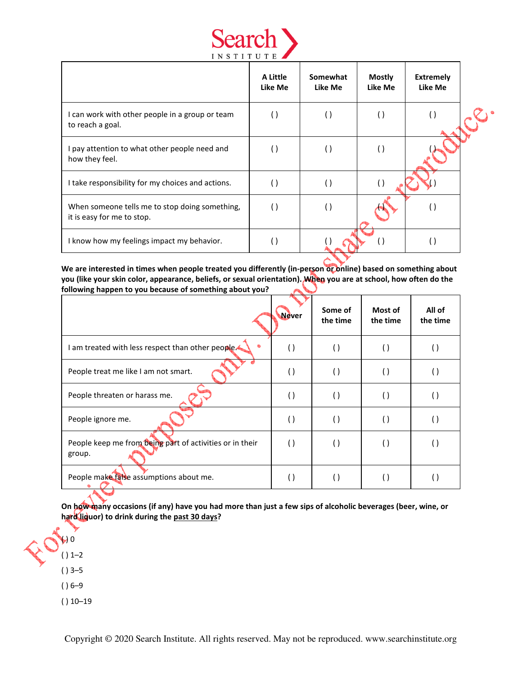

|                                                                              | A Little<br>Like Me | Somewhat<br>Like Me | <b>Mostly</b><br>Like Me | <b>Extremely</b><br>Like Me |  |
|------------------------------------------------------------------------------|---------------------|---------------------|--------------------------|-----------------------------|--|
| I can work with other people in a group or team<br>to reach a goal.          |                     |                     |                          |                             |  |
| I pay attention to what other people need and<br>how they feel.              |                     | $(\ )$              |                          |                             |  |
| I take responsibility for my choices and actions.                            | $\left( \right)$    | $\left( \ \right)$  |                          |                             |  |
| When someone tells me to stop doing something,<br>it is easy for me to stop. | $\left( \right)$    | $\left( \ \right)$  |                          |                             |  |
| I know how my feelings impact my behavior.                                   | $\left( \right)$    |                     |                          |                             |  |

We are interested in times when people treated you differently (in-person or online) based on something about you (like your skin color, appearance, beliefs, or sexual orientation). When you are at school, how often do the following happen to you because of something about you?

|                                                                    | <b>Never</b>     | Some of<br>the time | Most of<br>the time | All of<br>the time |
|--------------------------------------------------------------------|------------------|---------------------|---------------------|--------------------|
| I am treated with less respect than other people.<br>٠             |                  | $\left( \ \right)$  | $\left( \right)$    |                    |
| People treat me like I am not smart.                               |                  | $\left( \ \right)$  | $\left( \right)$    |                    |
| People threaten or harass me.                                      |                  | $\left( \right)$    | $\left( \right)$    |                    |
| People ignore me.                                                  | $\left( \right)$ | $\left( \right)$    | $\left( \right)$    |                    |
| People keep me from being part of activities or in their<br>group. | $\Box$           | $\left( \right)$    | ( )                 |                    |
| People make false assumptions about me.                            |                  |                     |                     |                    |

On how many occasions (if any) have you had more than just a few sips of alcoholic beverages (beer, wine, or hard liquor) to drink during the past 30 days?

 $\rightarrow 0$  $() 1-2$ ( ) 3–5 ( ) 6–9  $() 10-19$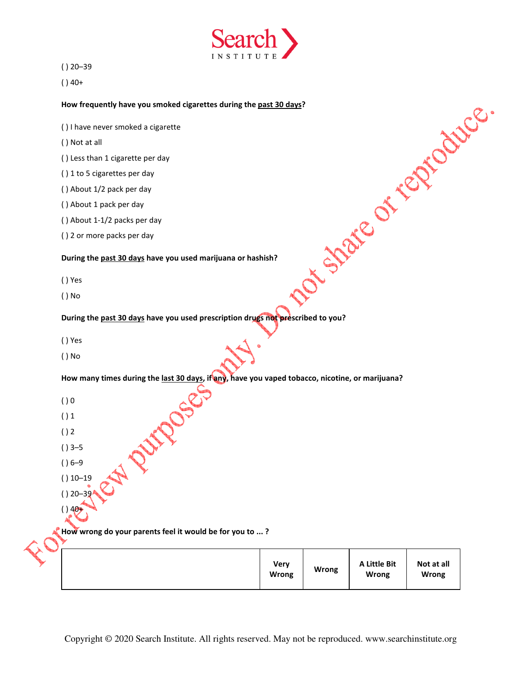

( ) 20–39

 $( ) 40+$ 

- ( ) I have never smoked a cigarette
- ( ) Not at all
- ( ) Less than 1 cigarette per day
- ( ) 1 to 5 cigarettes per day
- ( ) About 1/2 pack per day
- ( ) About 1 pack per day
- ( ) About 1-1/2 packs per day
- ( ) 2 or more packs per day

### During the past 30 days have you used marijuana or hashish?

- ( ) Yes
- ( ) No

# How frequently have you smoked cigarettes during the <u>past 30 days?</u><br>
() I have never smoked a cigarette<br>
() Not at all<br>
() to 5 cigarettes per day<br>
() about 1/2 pack per day<br>
() About 1/2 pack per day<br>
() About 1/2 pack During the past 30 days have you used prescription drugs not prescribed to you?

- ( ) Yes
- ( ) No

How many times during the <u>last 30 days</u>, if any, have you vaped tobacco, nicotine, or marijuana?<br>
() 0<br>
() 1<br>
() 2<br>
() 3-5<br>
() 6-9<br>
() 10-1<sup>o</sup>

- $()0$
- $()1$
- $()2$

 $( ) 3 - 5$ 

 $( ) 6 - 9$ 

- $() 10-19$
- $( ) 20 39$
- $( ) 40$

# How wrong do your parents feel it would be for you to ...?

| A Little Bit<br>Not at all<br><b>Very</b><br><b>Wrong</b><br><b>Wrong</b><br><b>Wrong</b><br>Wrong |
|----------------------------------------------------------------------------------------------------|
|----------------------------------------------------------------------------------------------------|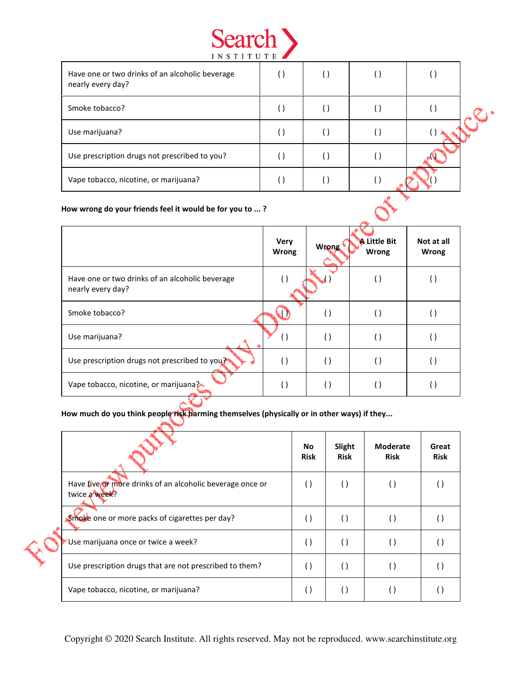

| Have one or two drinks of an alcoholic beverage<br>nearly every day? |  |        |  |
|----------------------------------------------------------------------|--|--------|--|
| Smoke tobacco?                                                       |  | $(\ )$ |  |
| Use marijuana?                                                       |  | $(\ )$ |  |
| Use prescription drugs not prescribed to you?                        |  | ( )    |  |
| Vape tobacco, nicotine, or marijuana?                                |  |        |  |
| How wrong do your friends feel it would be for you to ?              |  |        |  |

### How wrong do your friends feel it would be for you to ... ?

|                                                                      | <b>Very</b><br><b>Wrong</b> | Wrong              | <b>A</b> Little Bit<br>Wrong | Not at all<br><b>Wrong</b> |
|----------------------------------------------------------------------|-----------------------------|--------------------|------------------------------|----------------------------|
| Have one or two drinks of an alcoholic beverage<br>nearly every day? |                             |                    | $\left( \right)$             |                            |
| Smoke tobacco?                                                       |                             | $\left( \ \right)$ | $\left( \right)$             |                            |
| Use marijuana?                                                       |                             | $\Box$             | $\left( \ \right)$           |                            |
| Use prescription drugs not prescribed to you?                        | ( )                         | $\left( \ \right)$ | $\left( \right)$             |                            |
| Vape tobacco, nicotine, or marijuana?                                |                             | .)                 | $\left( \ \right)$           |                            |
|                                                                      |                             |                    |                              |                            |

How much do you think people risk harming themselves (physically or in other ways) if they...

|                                                                            | No.<br><b>Risk</b> | Slight<br><b>Risk</b> | <b>Moderate</b><br><b>Risk</b> | Great<br><b>Risk</b> |
|----------------------------------------------------------------------------|--------------------|-----------------------|--------------------------------|----------------------|
| Have five or more drinks of an alcoholic beverage once or<br>twice a week? | $\left( \ \right)$ |                       |                                |                      |
| Smoke one or more packs of cigarettes per day?                             | $\left( \ \right)$ | $\left( \right)$      |                                |                      |
| Use marijuana once or twice a week?                                        | $\left( \ \right)$ | $\left( \right)$      |                                |                      |
| Use prescription drugs that are not prescribed to them?                    | $\left( \right)$   | $\overline{(\cdot)}$  |                                |                      |
| Vape tobacco, nicotine, or marijuana?                                      | $\left( \right)$   |                       |                                |                      |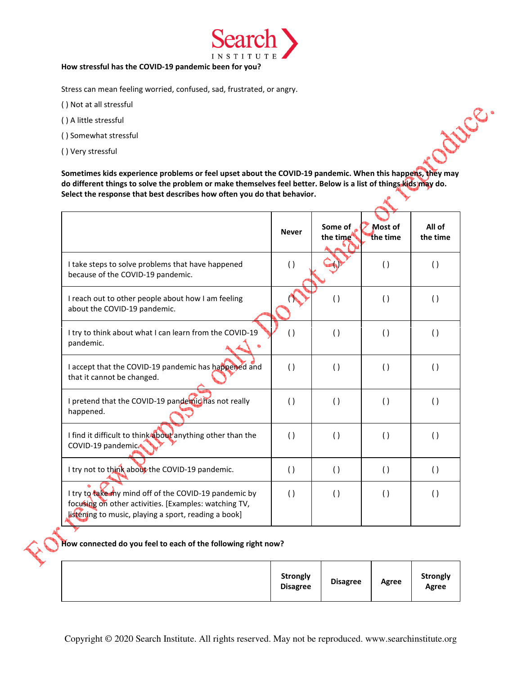

## How stressful has the COVID-19 pandemic been for you?

Stress can mean feeling worried, confused, sad, frustrated, or angry.

- ( ) Not at all stressful
- ( ) A little stressful
- ( ) Somewhat stressful
- ( ) Very stressful

Sometimes kids experience problems or feel upset about the COVID-19 pandemic. When this happens, they may do different things to solve the problem or make themselves feel better. Below is a list of things kids may do. Select the response that best describes how often you do that behavior.

cottles.

|                                                                                                                                                                        | <b>Never</b>       | Some of<br>the time | Most of<br>the time | All of<br>the time |
|------------------------------------------------------------------------------------------------------------------------------------------------------------------------|--------------------|---------------------|---------------------|--------------------|
| I take steps to solve problems that have happened<br>because of the COVID-19 pandemic.                                                                                 | $\left( \ \right)$ |                     | $\left( \ \right)$  | $\left( \right)$   |
| I reach out to other people about how I am feeling<br>about the COVID-19 pandemic.                                                                                     |                    | $\left( \ \right)$  | $\left( \ \right)$  | $\left( \right)$   |
| I try to think about what I can learn from the COVID-19<br>pandemic.                                                                                                   | $\left( \ \right)$ | $\left( \ \right)$  | $\left( \ \right)$  | $\left( \right)$   |
| I accept that the COVID-19 pandemic has happened and<br>that it cannot be changed.                                                                                     | $\left( \ \right)$ | $\left( \ \right)$  | $\left( \ \right)$  | $\left( \ \right)$ |
| I pretend that the COVID-19 pandemic has not really<br>happened.                                                                                                       | $\left( \ \right)$ | $\left( \ \right)$  | $\left( \ \right)$  | $\left( \ \right)$ |
| I find it difficult to think about anything other than the<br>COVID-19 pandemic.                                                                                       | $\left( \ \right)$ | $\left( \ \right)$  | $\left( \ \right)$  | $\left( \ \right)$ |
| I try not to think about the COVID-19 pandemic.                                                                                                                        | $\left( \ \right)$ | $\left( \ \right)$  | $\left( \ \right)$  | $\left( \ \right)$ |
| I try to take my mind off of the COVID-19 pandemic by<br>focusing on other activities. [Examples: watching TV,<br>listening to music, playing a sport, reading a book] | $\left( \ \right)$ | $\left( \ \right)$  | $\left( \ \right)$  | $\left( \right)$   |

# How connected do you feel to each of the following right now?

|  | Strongly<br><b>Disagree</b> | <b>Disagree</b> | Agree | Strongly<br>Agree |
|--|-----------------------------|-----------------|-------|-------------------|
|--|-----------------------------|-----------------|-------|-------------------|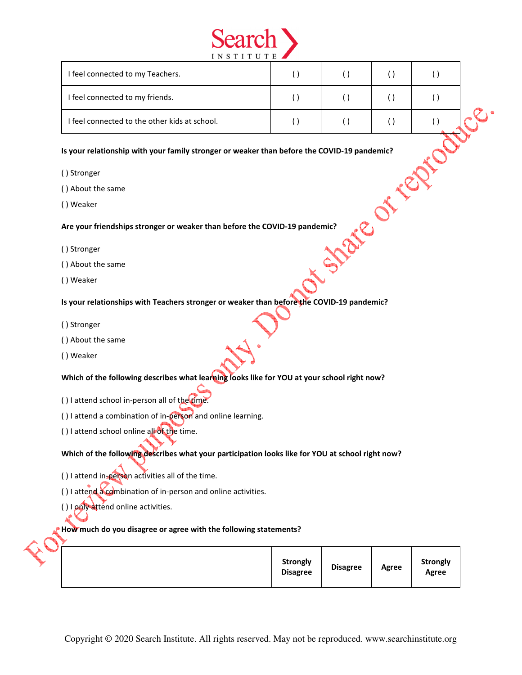

| I feel connected to my Teachers.                                                            | ( )                | $\left( \ \right)$ | $\left( \ \right)$ | $\left( \ \right)$ |  |  |  |  |
|---------------------------------------------------------------------------------------------|--------------------|--------------------|--------------------|--------------------|--|--|--|--|
| I feel connected to my friends.                                                             | $\left( \ \right)$ | $\left( \ \right)$ | $\left( \ \right)$ | $\left( \ \right)$ |  |  |  |  |
| I feel connected to the other kids at school.                                               | $\left( \ \right)$ | $\left( \ \right)$ | $\left( \ \right)$ | $\left( \ \right)$ |  |  |  |  |
| Is your relationship with your family stronger or weaker than before the COVID-19 pandemic? |                    |                    |                    |                    |  |  |  |  |
| () Stronger                                                                                 |                    |                    |                    |                    |  |  |  |  |
| () About the same                                                                           |                    |                    |                    |                    |  |  |  |  |
| () Weaker                                                                                   |                    |                    |                    |                    |  |  |  |  |
| Are your friendships stronger or weaker than before the COVID-19 pandemic?                  |                    |                    |                    |                    |  |  |  |  |
| () Stronger                                                                                 |                    |                    |                    |                    |  |  |  |  |
| () About the same                                                                           |                    |                    |                    |                    |  |  |  |  |
| () Weaker                                                                                   |                    |                    |                    |                    |  |  |  |  |

### Is your relationship with your family stronger or weaker than before the COVID-19 pandemic?

- ( ) Stronger
- ( ) About the same
- ( ) Weaker

- ( ) Stronger
- ( ) About the same
- ( ) Weaker

Is your relationships with Teachers stronger or weaker than before the COVID-19 pandemic?

- ( ) Stronger
- ( ) About the same
- ( ) Weaker

Which of the following describes what learning looks like for YOU at your school right now?

- ( ) I attend school in-person all of the time.
- ( ) I attend a combination of in-person and online learning.
- ( ) I attend school online all of the time.

Which of the following describes what your participation looks like for YOU at school right now?

- ( ) I attend in-person activities all of the time.
- () I attend a combination of in-person and online activities.
- ( ) I poly attend online activities.

### How much do you disagree or agree with the following statements?

|  |  | <b>Strongly</b><br><b>Disagree</b> | <b>Disagree</b> | Agree | <b>Strongly</b><br>Agree |
|--|--|------------------------------------|-----------------|-------|--------------------------|
|--|--|------------------------------------|-----------------|-------|--------------------------|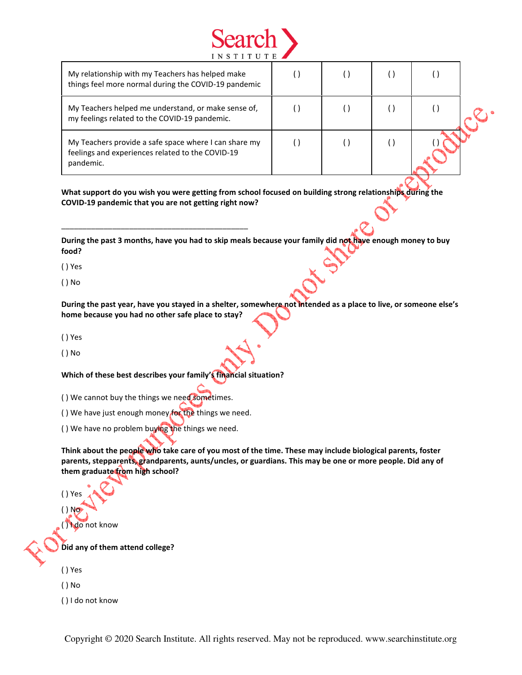

| My relationship with my Teachers has helped make<br>things feel more normal during the COVID-19 pandemic               |  |  |  |
|------------------------------------------------------------------------------------------------------------------------|--|--|--|
| My Teachers helped me understand, or make sense of,<br>my feelings related to the COVID-19 pandemic.                   |  |  |  |
| My Teachers provide a safe space where I can share my<br>feelings and experiences related to the COVID-19<br>pandemic. |  |  |  |

What support do you wish you were getting from school focused on building strong relationships during the COVID-19 pandemic that you are not getting right now?

During the past 3 months, have you had to skip meals because your family did not have enough money to buy food?

( ) Yes

( ) No

During the past year, have you stayed in a shelter, somewhere not intended as a place to live, or someone else's home because you had no other safe place to stay?

( ) Yes

( ) No

Which of these best describes your family's financial situation?

( ) We cannot buy the things we need sometimes.

( ) We have just enough money for the things we need.

\_\_\_\_\_\_\_\_\_\_\_\_\_\_\_\_\_\_\_\_\_\_\_\_\_\_\_\_\_\_\_\_\_\_\_\_\_\_\_\_\_\_\_\_

( ) We have no problem buying the things we need.

Think about the people who take care of you most of the time. These may include biological parents, foster parents, stepparents, grandparents, aunts/uncles, or guardians. This may be one or more people. Did any of them graduate from high school?

( ) Yes  $()$  No $()$ ( ) I do not know

Did any of them attend college?

( ) Yes

( ) No

( ) I do not know